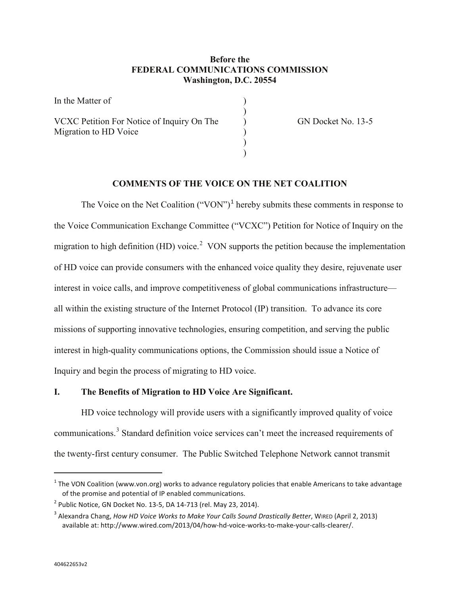# **Before the FEDERAL COMMUNICATIONS COMMISSION Washington, D.C. 20554**

)

) )

In the Matter of ) VCXC Petition For Notice of Inquiry On The  $\qquad$  GN Docket No. 13-5 Migration to HD Voice Migration to HD Voice )

# **COMMENTS OF THE VOICE ON THE NET COALITION**

The Voice on the Net Coalition  $("VON")^1$  $("VON")^1$  hereby submits these comments in response to the Voice Communication Exchange Committee ("VCXC") Petition for Notice of Inquiry on the migration to high definition (HD) voice.<sup>[2](#page-0-1)</sup> VON supports the petition because the implementation of HD voice can provide consumers with the enhanced voice quality they desire, rejuvenate user interest in voice calls, and improve competitiveness of global communications infrastructure all within the existing structure of the Internet Protocol (IP) transition. To advance its core missions of supporting innovative technologies, ensuring competition, and serving the public interest in high-quality communications options, the Commission should issue a Notice of Inquiry and begin the process of migrating to HD voice.

### **I. The Benefits of Migration to HD Voice Are Significant.**

HD voice technology will provide users with a significantly improved quality of voice communications.<sup>[3](#page-0-2)</sup> Standard definition voice services can't meet the increased requirements of the twenty-first century consumer. The Public Switched Telephone Network cannot transmit

<span id="page-0-0"></span> $1$  The VON Coalition (www.von.org) works to advance regulatory policies that enable Americans to take advantage of the promise and potential of IP enabled communications.

<span id="page-0-1"></span> $2^{2}$  Public Notice, GN Docket No. 13-5, DA 14-713 (rel. May 23, 2014).

<span id="page-0-2"></span><sup>3</sup> Alexandra Chang, *How HD Voice Works to Make Your Calls Sound Drastically Better*, WIRED (April 2, 2013) available at: http://www.wired.com/2013/04/how-hd-voice-works-to-make-your-calls-clearer/.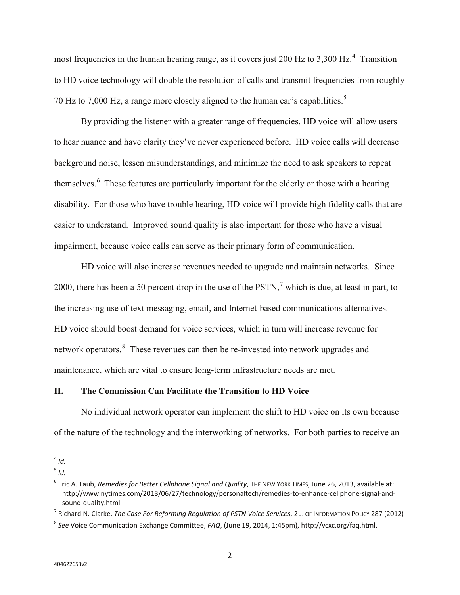most frequencies in the human hearing range, as it covers just 200 Hz to 3,300 Hz.<sup>[4](#page-1-0)</sup> Transition to HD voice technology will double the resolution of calls and transmit frequencies from roughly 70 Hz to 7,000 Hz, a range more closely aligned to the human ear's capabilities.<sup>[5](#page-1-1)</sup>

By providing the listener with a greater range of frequencies, HD voice will allow users to hear nuance and have clarity they've never experienced before. HD voice calls will decrease background noise, lessen misunderstandings, and minimize the need to ask speakers to repeat themselves.<sup>[6](#page-1-2)</sup> These features are particularly important for the elderly or those with a hearing disability. For those who have trouble hearing, HD voice will provide high fidelity calls that are easier to understand. Improved sound quality is also important for those who have a visual impairment, because voice calls can serve as their primary form of communication.

HD voice will also increase revenues needed to upgrade and maintain networks. Since 2000, there has been a 50 percent drop in the use of the  $PSTN$ , which is due, at least in part, to the increasing use of text messaging, email, and Internet-based communications alternatives. HD voice should boost demand for voice services, which in turn will increase revenue for network operators.<sup>[8](#page-1-4)</sup> These revenues can then be re-invested into network upgrades and maintenance, which are vital to ensure long-term infrastructure needs are met.

### **II. The Commission Can Facilitate the Transition to HD Voice**

No individual network operator can implement the shift to HD voice on its own because of the nature of the technology and the interworking of networks. For both parties to receive an

<span id="page-1-3"></span><sup>7</sup> Richard N. Clarke, *The Case For Reforming Regulation of PSTN Voice Services*, 2 J. OF INFORMATION POLICY 287 (2012)

<span id="page-1-0"></span> $4$  *Id.* 

<span id="page-1-1"></span> $<sup>5</sup>$  *Id.*</sup>

<span id="page-1-2"></span><sup>6</sup> Eric A. Taub, *Remedies for Better Cellphone Signal and Quality*, THE NEW YORK TIMES, June 26, 2013, available at: http://www.nytimes.com/2013/06/27/technology/personaltech/remedies-to-enhance-cellphone-signal-andsound-quality.html

<span id="page-1-4"></span><sup>8</sup> *See* Voice Communication Exchange Committee, *FAQ*, (June 19, 2014, 1:45pm), http://vcxc.org/faq.html.